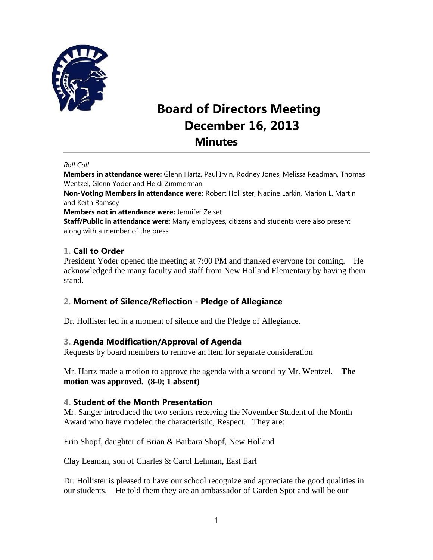

# **Board of Directors Meeting December 16, 2013 Minutes**

#### *Roll Call*

**Members in attendance were:** Glenn Hartz, Paul Irvin, Rodney Jones, Melissa Readman, Thomas Wentzel, Glenn Yoder and Heidi Zimmerman

**Non-Voting Members in attendance were:** Robert Hollister, Nadine Larkin, Marion L. Martin and Keith Ramsey

**Members not in attendance were:** Jennifer Zeiset

**Staff/Public in attendance were:** Many employees, citizens and students were also present along with a member of the press.

## **1. Call to Order**

President Yoder opened the meeting at 7:00 PM and thanked everyone for coming. He acknowledged the many faculty and staff from New Holland Elementary by having them stand.

#### **2. Moment of Silence/Reflection - Pledge of Allegiance**

Dr. Hollister led in a moment of silence and the Pledge of Allegiance.

#### **3. Agenda Modification/Approval of Agenda**

Requests by board members to remove an item for separate consideration

Mr. Hartz made a motion to approve the agenda with a second by Mr. Wentzel. **The motion was approved. (8-0; 1 absent)** 

#### **4. Student of the Month Presentation**

Mr. Sanger introduced the two seniors receiving the November Student of the Month Award who have modeled the characteristic, Respect. They are:

Erin Shopf, daughter of Brian & Barbara Shopf, New Holland

Clay Leaman, son of Charles & Carol Lehman, East Earl

Dr. Hollister is pleased to have our school recognize and appreciate the good qualities in our students. He told them they are an ambassador of Garden Spot and will be our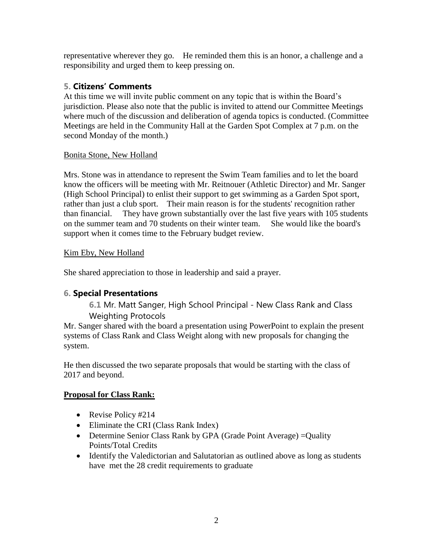representative wherever they go. He reminded them this is an honor, a challenge and a responsibility and urged them to keep pressing on.

## **5. Citizens' Comments**

At this time we will invite public comment on any topic that is within the Board's jurisdiction. Please also note that the public is invited to attend our Committee Meetings where much of the discussion and deliberation of agenda topics is conducted. (Committee Meetings are held in the Community Hall at the Garden Spot Complex at 7 p.m. on the second Monday of the month.)

### Bonita Stone, New Holland

Mrs. Stone was in attendance to represent the Swim Team families and to let the board know the officers will be meeting with Mr. Reitnouer (Athletic Director) and Mr. Sanger (High School Principal) to enlist their support to get swimming as a Garden Spot sport, rather than just a club sport. Their main reason is for the students' recognition rather than financial. They have grown substantially over the last five years with 105 students on the summer team and 70 students on their winter team. She would like the board's support when it comes time to the February budget review.

### Kim Eby, New Holland

She shared appreciation to those in leadership and said a prayer.

## **6. Special Presentations**

**6.1** Mr. Matt Sanger, High School Principal - New Class Rank and Class Weighting Protocols

Mr. Sanger shared with the board a presentation using PowerPoint to explain the present systems of Class Rank and Class Weight along with new proposals for changing the system.

He then discussed the two separate proposals that would be starting with the class of 2017 and beyond.

## **Proposal for Class Rank:**

- Revise Policy #214
- Eliminate the CRI (Class Rank Index)
- Determine Senior Class Rank by GPA (Grade Point Average) = Quality Points/Total Credits
- Identify the Valedictorian and Salutatorian as outlined above as long as students have met the 28 credit requirements to graduate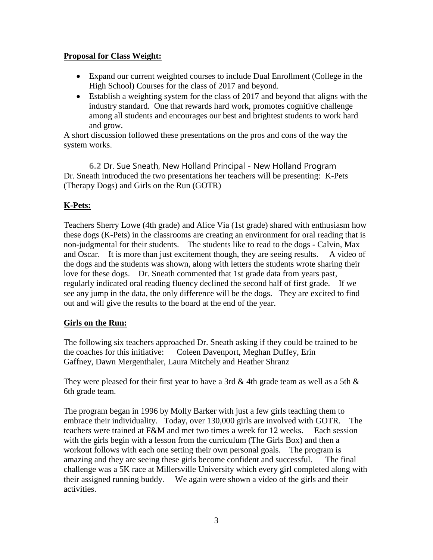#### **Proposal for Class Weight:**

- Expand our current weighted courses to include Dual Enrollment (College in the High School) Courses for the class of 2017 and beyond.
- Establish a weighting system for the class of 2017 and beyond that aligns with the industry standard. One that rewards hard work, promotes cognitive challenge among all students and encourages our best and brightest students to work hard and grow.

A short discussion followed these presentations on the pros and cons of the way the system works.

**6.2** Dr. Sue Sneath, New Holland Principal - New Holland Program Dr. Sneath introduced the two presentations her teachers will be presenting: K-Pets (Therapy Dogs) and Girls on the Run (GOTR)

### **K-Pets:**

Teachers Sherry Lowe (4th grade) and Alice Via (1st grade) shared with enthusiasm how these dogs (K-Pets) in the classrooms are creating an environment for oral reading that is non-judgmental for their students. The students like to read to the dogs - Calvin, Max and Oscar. It is more than just excitement though, they are seeing results. A video of the dogs and the students was shown, along with letters the students wrote sharing their love for these dogs. Dr. Sneath commented that 1st grade data from years past, regularly indicated oral reading fluency declined the second half of first grade. If we see any jump in the data, the only difference will be the dogs. They are excited to find out and will give the results to the board at the end of the year.

#### **Girls on the Run:**

The following six teachers approached Dr. Sneath asking if they could be trained to be the coaches for this initiative: Coleen Davenport, Meghan Duffey, Erin Gaffney, Dawn Mergenthaler, Laura Mitchely and Heather Shranz

They were pleased for their first year to have a 3rd & 4th grade team as well as a 5th  $\&$ 6th grade team.

The program began in 1996 by Molly Barker with just a few girls teaching them to embrace their individuality. Today, over 130,000 girls are involved with GOTR. The teachers were trained at F&M and met two times a week for 12 weeks. Each session with the girls begin with a lesson from the curriculum (The Girls Box) and then a workout follows with each one setting their own personal goals. The program is amazing and they are seeing these girls become confident and successful. The final challenge was a 5K race at Millersville University which every girl completed along with their assigned running buddy. We again were shown a video of the girls and their activities.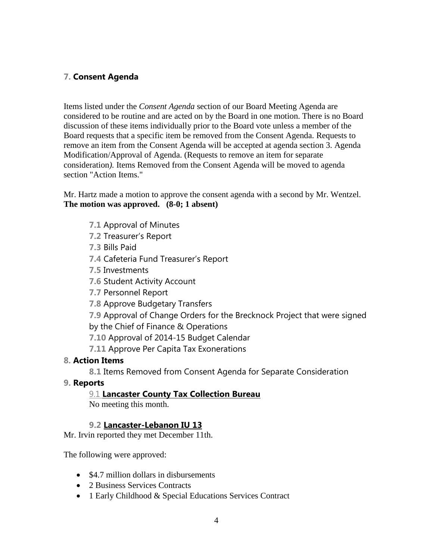## **7. Consent Agenda**

Items listed under the *Consent Agenda* section of our Board Meeting Agenda are considered to be routine and are acted on by the Board in one motion. There is no Board discussion of these items individually prior to the Board vote unless a member of the Board requests that a specific item be removed from the Consent Agenda. Requests to remove an item from the Consent Agenda will be accepted at agenda section 3. Agenda Modification/Approval of Agenda. (Requests to remove an item for separate consideration*).* Items Removed from the Consent Agenda will be moved to agenda section "Action Items."

#### Mr. Hartz made a motion to approve the consent agenda with a second by Mr. Wentzel. **The motion was approved. (8-0; 1 absent)**

- **7.1** Approval of Minutes
- **7.2** Treasurer's Report
- **7.3** Bills Paid
- **7.4** Cafeteria Fund Treasurer's Report
- **7.5** Investments
- **7.6** Student Activity Account
- **7.7** Personnel Report
- **7.8** Approve Budgetary Transfers
- **7.9** Approval of Change Orders for the Brecknock Project that were signed by the Chief of Finance & Operations
- **7.10** Approval of 2014-15 Budget Calendar
- **7.11** Approve Per Capita Tax Exonerations

#### **8. Action Items**

**8.1** Items Removed from Consent Agenda for Separate Consideration

**9. Reports**

## 9.1 **Lancaster County Tax Collection Bureau**

No meeting this month.

## **9.2 Lancaster-Lebanon IU 13**

Mr. Irvin reported they met December 11th.

The following were approved:

- \$4.7 million dollars in disbursements
- 2 Business Services Contracts
- 1 Early Childhood & Special Educations Services Contract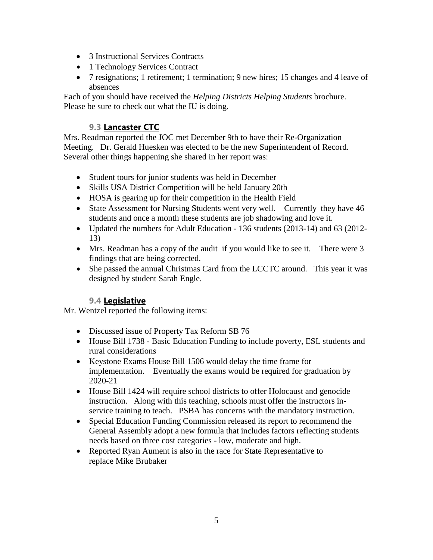- 3 Instructional Services Contracts
- 1 Technology Services Contract
- 7 resignations; 1 retirement; 1 termination; 9 new hires; 15 changes and 4 leave of absences

Each of you should have received the *Helping Districts Helping Students* brochure. Please be sure to check out what the IU is doing.

## **9.3 Lancaster CTC**

Mrs. Readman reported the JOC met December 9th to have their Re-Organization Meeting. Dr. Gerald Huesken was elected to be the new Superintendent of Record. Several other things happening she shared in her report was:

- Student tours for junior students was held in December
- Skills USA District Competition will be held January 20th
- HOSA is gearing up for their competition in the Health Field
- State Assessment for Nursing Students went very well. Currently they have 46 students and once a month these students are job shadowing and love it.
- Updated the numbers for Adult Education 136 students (2013-14) and 63 (2012- 13)
- Mrs. Readman has a copy of the audit if you would like to see it. There were 3 findings that are being corrected.
- She passed the annual Christmas Card from the LCCTC around. This year it was designed by student Sarah Engle.

## **9.4 Legislative**

Mr. Wentzel reported the following items:

- Discussed issue of Property Tax Reform SB 76
- House Bill 1738 Basic Education Funding to include poverty, ESL students and rural considerations
- Keystone Exams House Bill 1506 would delay the time frame for implementation. Eventually the exams would be required for graduation by 2020-21
- House Bill 1424 will require school districts to offer Holocaust and genocide instruction. Along with this teaching, schools must offer the instructors inservice training to teach. PSBA has concerns with the mandatory instruction.
- Special Education Funding Commission released its report to recommend the General Assembly adopt a new formula that includes factors reflecting students needs based on three cost categories - low, moderate and high.
- Reported Ryan Aument is also in the race for State Representative to replace Mike Brubaker